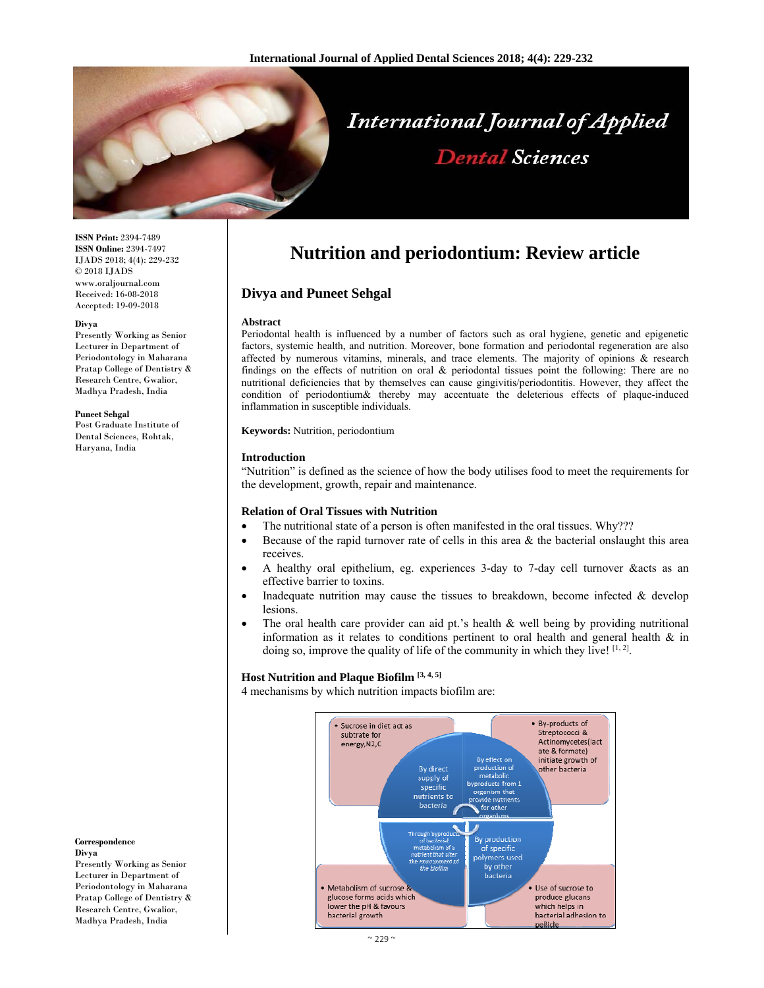

# **International Journal of Applied Dental Sciences**

**ISSN Print:** 2394-7489 **ISSN Online:** 2394-7497 IJADS 2018; 4(4): 229-232 © 2018 IJADS www.oraljournal.com Received: 16-08-2018 Accepted: 19-09-2018

#### **Divya**

Presently Working as Senior Lecturer in Department of Periodontology in Maharana Pratap College of Dentistry & Research Centre, Gwalior, Madhya Pradesh, India

#### **Puneet Sehgal**

Post Graduate Institute of Dental Sciences, Rohtak, Haryana, India

# **Nutrition and periodontium: Review article**

#### **Divya and Puneet Sehgal**

#### **Abstract**

Periodontal health is influenced by a number of factors such as oral hygiene, genetic and epigenetic factors, systemic health, and nutrition. Moreover, bone formation and periodontal regeneration are also affected by numerous vitamins, minerals, and trace elements. The majority of opinions & research findings on the effects of nutrition on oral & periodontal tissues point the following: There are no nutritional deficiencies that by themselves can cause gingivitis/periodontitis. However, they affect the condition of periodontium& thereby may accentuate the deleterious effects of plaque-induced inflammation in susceptible individuals.

**Keywords:** Nutrition, periodontium

#### **Introduction**

"Nutrition" is defined as the science of how the body utilises food to meet the requirements for the development, growth, repair and maintenance.

#### **Relation of Oral Tissues with Nutrition**

- The nutritional state of a person is often manifested in the oral tissues. Why???
- Because of the rapid turnover rate of cells in this area  $\&$  the bacterial onslaught this area receives.
- A healthy oral epithelium, eg. experiences 3-day to 7-day cell turnover &acts as an effective barrier to toxins.
- Inadequate nutrition may cause the tissues to breakdown, become infected  $\&$  develop lesions.
- The oral health care provider can aid pt.'s health  $\&$  well being by providing nutritional information as it relates to conditions pertinent to oral health and general health & in doing so, improve the quality of life of the community in which they live! [1, 2].

### **Host Nutrition and Plaque Biofilm [3, 4, 5]**

4 mechanisms by which nutrition impacts biofilm are:



#### **Correspondence**

**Divya**  Presently Working as Senior Lecturer in Department of Periodontology in Maharana Pratap College of Dentistry & Research Centre, Gwalior, Madhya Pradesh, India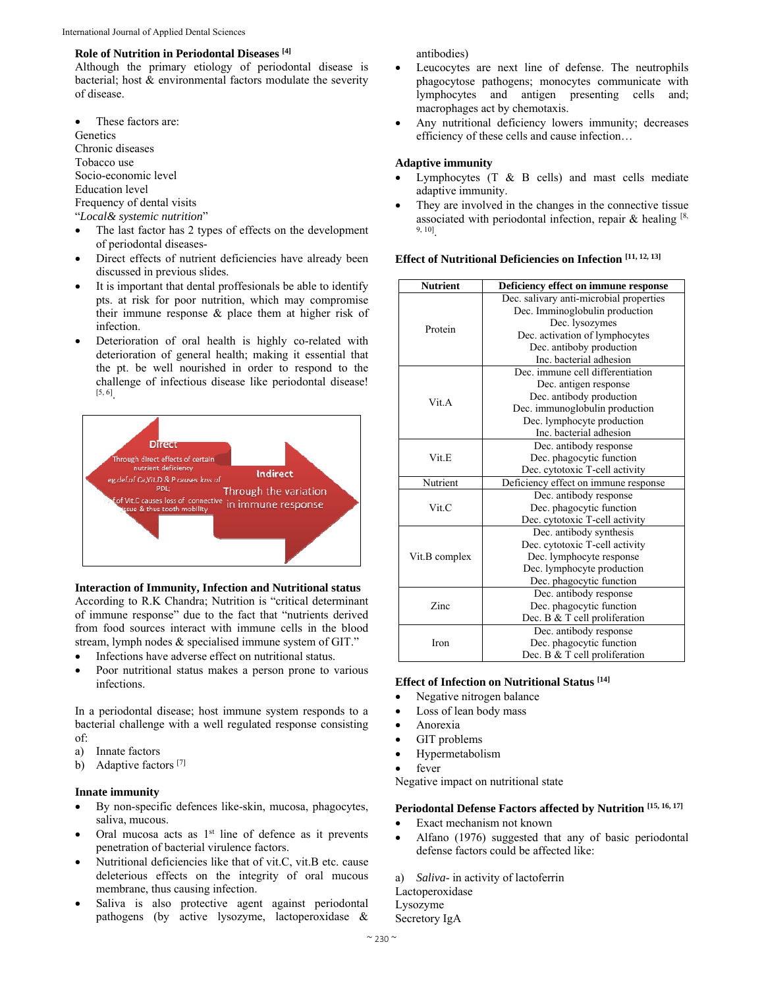#### **Role of Nutrition in Periodontal Diseases [4]**

Although the primary etiology of periodontal disease is bacterial; host & environmental factors modulate the severity of disease.

 These factors are: **Genetics** Chronic diseases Tobacco use Socio-economic level Education level Frequency of dental visits "*Local& systemic nutrition*"

- The last factor has 2 types of effects on the development of periodontal diseases-
- Direct effects of nutrient deficiencies have already been discussed in previous slides.
- It is important that dental proffesionals be able to identify pts. at risk for poor nutrition, which may compromise their immune response & place them at higher risk of infection.
- Deterioration of oral health is highly co-related with deterioration of general health; making it essential that the pt. be well nourished in order to respond to the challenge of infectious disease like periodontal disease! [5, 6].



#### **Interaction of Immunity, Infection and Nutritional status**

According to R.K Chandra; Nutrition is "critical determinant of immune response" due to the fact that "nutrients derived from food sources interact with immune cells in the blood stream, lymph nodes & specialised immune system of GIT."

- Infections have adverse effect on nutritional status.
- Poor nutritional status makes a person prone to various infections.

In a periodontal disease; host immune system responds to a bacterial challenge with a well regulated response consisting of:

- a) Innate factors
- b) Adaptive factors<sup>[7]</sup>

#### **Innate immunity**

- By non-specific defences like-skin, mucosa, phagocytes, saliva, mucous.
- $\bullet$  Oral mucosa acts as  $1<sup>st</sup>$  line of defence as it prevents penetration of bacterial virulence factors.
- Nutritional deficiencies like that of vit.C, vit.B etc. cause deleterious effects on the integrity of oral mucous membrane, thus causing infection.
- Saliva is also protective agent against periodontal pathogens (by active lysozyme, lactoperoxidase &

antibodies)

- Leucocytes are next line of defense. The neutrophils phagocytose pathogens; monocytes communicate with lymphocytes and antigen presenting cells and; macrophages act by chemotaxis.
- Any nutritional deficiency lowers immunity; decreases efficiency of these cells and cause infection…

#### **Adaptive immunity**

- Lymphocytes (T & B cells) and mast cells mediate adaptive immunity.
- They are involved in the changes in the connective tissue associated with periodontal infection, repair  $\&$  healing [8, 9, 10].

| Effect of Nutritional Deficiencies on Infection $[11, 12, 13]$ |  |
|----------------------------------------------------------------|--|
|----------------------------------------------------------------|--|

| <b>Nutrient</b> | Deficiency effect on immune response    |
|-----------------|-----------------------------------------|
| Protein         | Dec. salivary anti-microbial properties |
|                 | Dec. Imminoglobulin production          |
|                 | Dec. lysozymes                          |
|                 | Dec. activation of lymphocytes          |
|                 | Dec. antiboby production                |
|                 | Inc. bacterial adhesion                 |
| Vit.A           | Dec. immune cell differentiation        |
|                 | Dec. antigen response                   |
|                 | Dec. antibody production                |
|                 | Dec. immunoglobulin production          |
|                 | Dec. lymphocyte production              |
|                 | Inc. bacterial adhesion                 |
|                 | Dec. antibody response                  |
| Vit.E           | Dec. phagocytic function                |
|                 | Dec. cytotoxic T-cell activity          |
| Nutrient        | Deficiency effect on immune response    |
| Vit C           | Dec. antibody response                  |
|                 | Dec. phagocytic function                |
|                 | Dec. cytotoxic T-cell activity          |
| Vit.B complex   | Dec. antibody synthesis                 |
|                 | Dec. cytotoxic T-cell activity          |
|                 | Dec. lymphocyte response                |
|                 | Dec. lymphocyte production              |
|                 | Dec. phagocytic function                |
| Zinc            | Dec. antibody response                  |
|                 | Dec. phagocytic function                |
|                 | Dec. B & T cell proliferation           |
| Iron            | Dec. antibody response                  |
|                 | Dec. phagocytic function                |
|                 | Dec. B & T cell proliferation           |

#### **Effect of Infection on Nutritional Status [14]**

- Negative nitrogen balance
- Loss of lean body mass
- Anorexia
- GIT problems
- Hypermetabolism
- fever

Negative impact on nutritional state

## **Periodontal Defense Factors affected by Nutrition [15, 16, 17]**

- Exact mechanism not known
- Alfano (1976) suggested that any of basic periodontal defense factors could be affected like:

a) *Saliva*- in activity of lactoferrin

Lactoperoxidase Lysozyme

Secretory IgA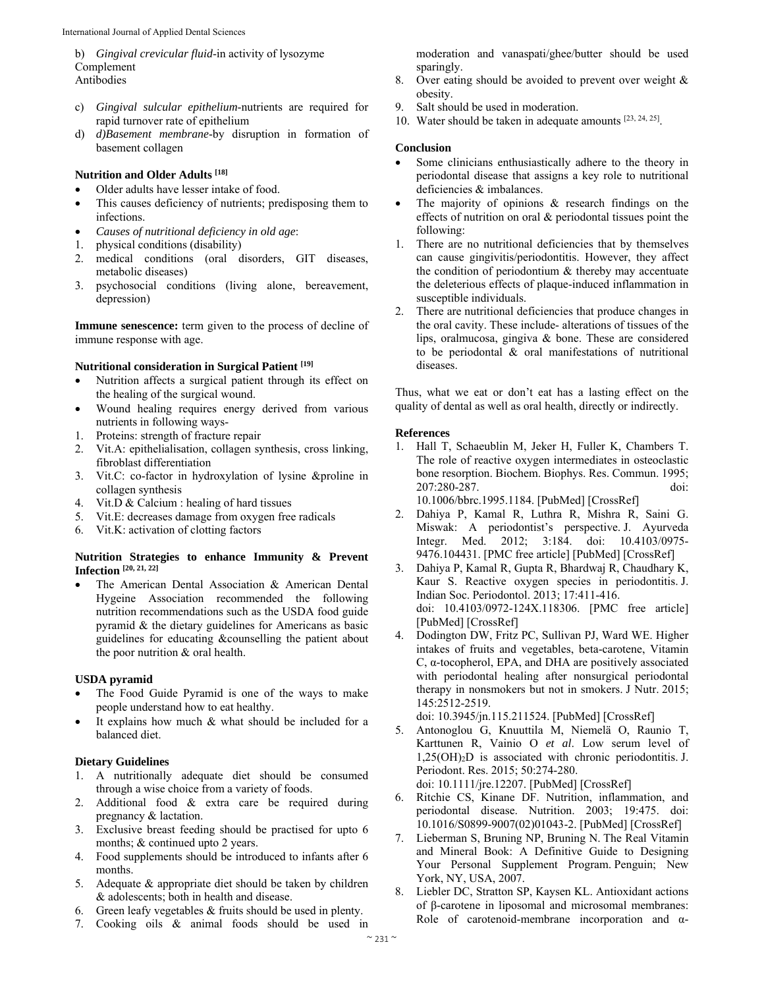- b) *Gingival crevicular fluid*-in activity of lysozyme Complement Antibodies
- c) *Gingival sulcular epithelium*-nutrients are required for rapid turnover rate of epithelium
- d) *d)Basement membrane*-by disruption in formation of basement collagen

#### **Nutrition and Older Adults [18]**

- Older adults have lesser intake of food.
- This causes deficiency of nutrients; predisposing them to infections.
- *Causes of nutritional deficiency in old age*:
- 1. physical conditions (disability)
- 2. medical conditions (oral disorders, GIT diseases, metabolic diseases)
- 3. psychosocial conditions (living alone, bereavement, depression)

**Immune senescence:** term given to the process of decline of immune response with age.

#### **Nutritional consideration in Surgical Patient [19]**

- Nutrition affects a surgical patient through its effect on the healing of the surgical wound.
- Wound healing requires energy derived from various nutrients in following ways-
- 1. Proteins: strength of fracture repair
- 2. Vit.A: epithelialisation, collagen synthesis, cross linking, fibroblast differentiation
- 3. Vit.C: co-factor in hydroxylation of lysine &proline in collagen synthesis
- 4. Vit.D & Calcium : healing of hard tissues
- 5. Vit.E: decreases damage from oxygen free radicals
- 6. Vit.K: activation of clotting factors

#### **Nutrition Strategies to enhance Immunity & Prevent Infection [20, 21, 22]**

 The American Dental Association & American Dental Hygeine Association recommended the following nutrition recommendations such as the USDA food guide pyramid & the dietary guidelines for Americans as basic guidelines for educating &counselling the patient about the poor nutrition & oral health.

#### **USDA pyramid**

- The Food Guide Pyramid is one of the ways to make people understand how to eat healthy.
- It explains how much & what should be included for a balanced diet.

#### **Dietary Guidelines**

- 1. A nutritionally adequate diet should be consumed through a wise choice from a variety of foods.
- 2. Additional food & extra care be required during pregnancy & lactation.
- 3. Exclusive breast feeding should be practised for upto 6 months; & continued upto 2 years.
- 4. Food supplements should be introduced to infants after 6 months.
- 5. Adequate & appropriate diet should be taken by children & adolescents; both in health and disease.
- 6. Green leafy vegetables & fruits should be used in plenty. 7. Cooking oils & animal foods should be used in

moderation and vanaspati/ghee/butter should be used sparingly.

- 8. Over eating should be avoided to prevent over weight & obesity.
- 9. Salt should be used in moderation.
- 10. Water should be taken in adequate amounts [23, 24, 25].

#### **Conclusion**

- Some clinicians enthusiastically adhere to the theory in periodontal disease that assigns a key role to nutritional deficiencies & imbalances.
- The majority of opinions & research findings on the effects of nutrition on oral & periodontal tissues point the following:
- 1. There are no nutritional deficiencies that by themselves can cause gingivitis/periodontitis. However, they affect the condition of periodontium  $\&$  thereby may accentuate the deleterious effects of plaque-induced inflammation in susceptible individuals.
- 2. There are nutritional deficiencies that produce changes in the oral cavity. These include- alterations of tissues of the lips, oralmucosa, gingiva & bone. These are considered to be periodontal & oral manifestations of nutritional diseases.

Thus, what we eat or don't eat has a lasting effect on the quality of dental as well as oral health, directly or indirectly.

#### **References**

1. Hall T, Schaeublin M, Jeker H, Fuller K, Chambers T. The role of reactive oxygen intermediates in osteoclastic bone resorption. Biochem. Biophys. Res. Commun. 1995; 207:280-287. doi: 10.1006/bbrc.1995.1184. [PubMed] [CrossRef]

2. Dahiya P, Kamal R, Luthra R, Mishra R, Saini G. Miswak: A periodontist's perspective. J. Ayurveda Integr. Med. 2012; 3:184. doi: 10.4103/0975- 9476.104431. [PMC free article] [PubMed] [CrossRef]

3. Dahiya P, Kamal R, Gupta R, Bhardwaj R, Chaudhary K, Kaur S. Reactive oxygen species in periodontitis. J. Indian Soc. Periodontol. 2013; 17:411-416. doi: 10.4103/0972-124X.118306. [PMC free article] [PubMed] [CrossRef]

4. Dodington DW, Fritz PC, Sullivan PJ, Ward WE. Higher intakes of fruits and vegetables, beta-carotene, Vitamin C, α-tocopherol, EPA, and DHA are positively associated with periodontal healing after nonsurgical periodontal therapy in nonsmokers but not in smokers. J Nutr. 2015; 145:2512-2519.

doi: 10.3945/jn.115.211524. [PubMed] [CrossRef]

5. Antonoglou G, Knuuttila M, Niemelä O, Raunio T, Karttunen R, Vainio O *et al*. Low serum level of  $1,25(OH)<sub>2</sub>D$  is associated with chronic periodontitis. J. Periodont. Res. 2015; 50:274-280.

doi: 10.1111/jre.12207. [PubMed] [CrossRef]

- 6. Ritchie CS, Kinane DF. Nutrition, inflammation, and periodontal disease. Nutrition. 2003; 19:475. doi: 10.1016/S0899-9007(02)01043-2. [PubMed] [CrossRef]
- 7. Lieberman S, Bruning NP, Bruning N. The Real Vitamin and Mineral Book: A Definitive Guide to Designing Your Personal Supplement Program. Penguin; New York, NY, USA, 2007.
- 8. Liebler DC, Stratton SP, Kaysen KL. Antioxidant actions of β-carotene in liposomal and microsomal membranes: Role of carotenoid-membrane incorporation and α-